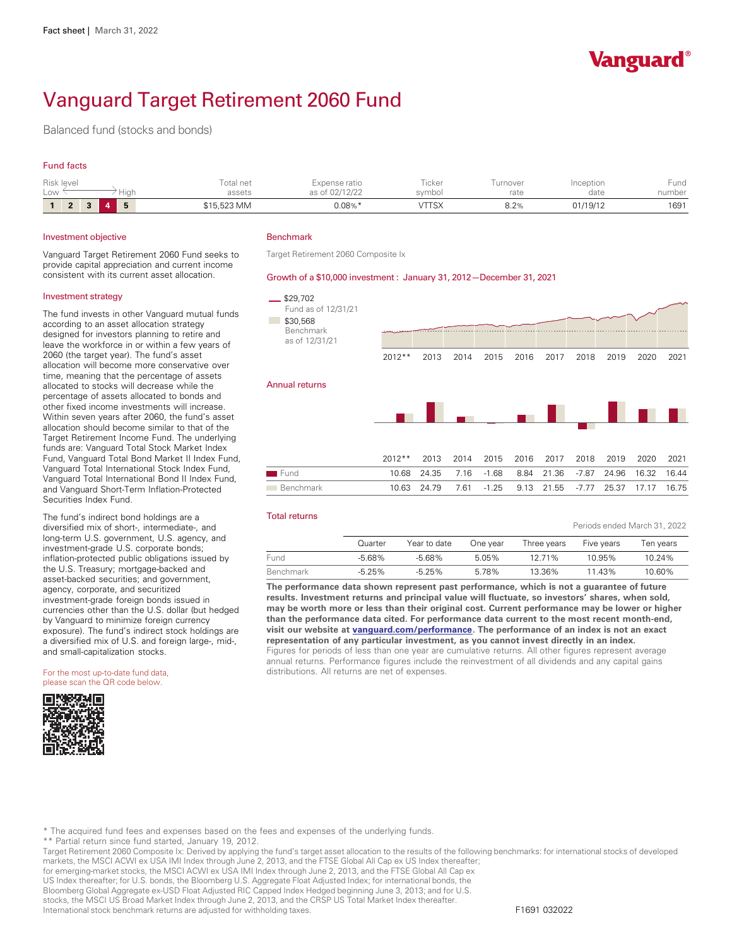

Periods ended March 31, 2022

# Vanguard Target Retirement 2060 Fund

Balanced fund (stocks and bonds)

## Fund facts

| Risk level<br>LOW | Hiah | Total net<br>assets | Expense ratio<br>as of 02/12/22 | icker<br>svmbol | urnover<br>rate | Inception<br>date | Fund<br>number |
|-------------------|------|---------------------|---------------------------------|-----------------|-----------------|-------------------|----------------|
| $\bullet$<br>z    | 一長   | \$15,523 MM         | $0.08\%$ $*$                    | vttsx           | റ റം<br>8.Z%    | 01/19/12          | 1691           |

#### Investment objective

Vanguard Target Retirement 2060 Fund seeks to provide capital appreciation and current income consistent with its current asset allocation.

#### Investment strategy

The fund invests in other Vanguard mutual funds according to an asset allocation strategy designed for investors planning to retire and leave the workforce in or within a few years of 2060 (the target year). The fund's asset allocation will become more conservative over time, meaning that the percentage of assets allocated to stocks will decrease while the percentage of assets allocated to bonds and other fixed income investments will increase. Within seven years after 2060, the fund's asset allocation should become similar to that of the Target Retirement Income Fund. The underlying funds are: Vanguard Total Stock Market Index Fund, Vanguard Total Bond Market II Index Fund, Vanguard Total International Stock Index Fund, Vanguard Total International Bond II Index Fund, and Vanguard Short-Term Inflation-Protected Securities Index Fund.

The fund's indirect bond holdings are a diversified mix of short-, intermediate-, and long-term U.S. government, U.S. agency, and investment-grade U.S. corporate bonds; inflation-protected public obligations issued by the U.S. Treasury; mortgage-backed and asset-backed securities; and government, agency, corporate, and securitized investment-grade foreign bonds issued in currencies other than the U.S. dollar (but hedged by Vanguard to minimize foreign currency<br>exposure). The fund's indirect stock holdings are a diversified mix of U.S. and foreign large-, mid-, and small-capitalization stocks.

For the most up-to-date fund data, please scan the QR code below.



## Benchmark

Target Retirement 2060 Composite Ix

#### Growth of a \$10,000 investment : January 31, 2012— December 31, 2021



#### Total returns

|           |           |              |          |             | $\frac{1}{2}$ original contracts in the $\frac{1}{2}$ subsets in the set of $\frac{1}{2}$ |           |
|-----------|-----------|--------------|----------|-------------|-------------------------------------------------------------------------------------------|-----------|
|           | Quarter   | Year to date | One vear | Three years | Five years                                                                                | Ten vears |
| Fund      | $-5.68\%$ | $-5.68\%$    | 5.05%    | 12 71%      | 10.95%                                                                                    | 10.24%    |
| Benchmark | $-5.25%$  | $-525\%$     | 5.78%    | 13.36%      | 11.43%                                                                                    | 10.60%    |

**The performance data shown represent past performance, which is not a guarantee of future results. Investment returns and principal value will fluctuate, so investors' shares, when sold, may be worth more or less than their original cost. Current performance may be lower or higher than the performance data cited. For performance data current to the most recent month-end, visit our website at [vanguard.com/performance .](http://www.vanguard.com/performance) The performance of an index is not an exact representation of any particular investment, as you cannot invest directly in an index.**  Figures for periods of less than one year are cumulative returns. All other figures represent average annual returns. Performance figures include the reinvestment of all dividends and any capital gains distributions. All returns are net of expenses.

\* The acquired fund fees and expenses based on the fees and expenses of the underlying funds.

\*\* Partial return since fund started, January 19, 2012.

Target Retirement 2060 Composite Ix: Derived by applying the fund's target asset allocation to the results of the following benchmarks: for international stocks of developed

markets, the MSCI ACWI ex USA IMI Index through June 2, 2013, and the FTSE Global All Cap ex US Index thereafter;<br>for emerging-market stocks, the MSCI ACWI ex USA IMI Index through June 2, 2013, and the FTSE Global All Cap US Index thereafter; for U.S. bonds, the Bloomberg U.S. Aggregate Float Adjusted Index; for international bonds, the Bloomberg Global Aggregate ex-USD Float Adjusted RIC Capped Index Hedged beginning June 3, 2013; and for U.S. stocks, the MSCI US Broad Market Index through June 2, 2013, and the CRSP US Total Market Index thereafter. International stock benchmark returns are adjusted for withholding taxes. F1691 032022